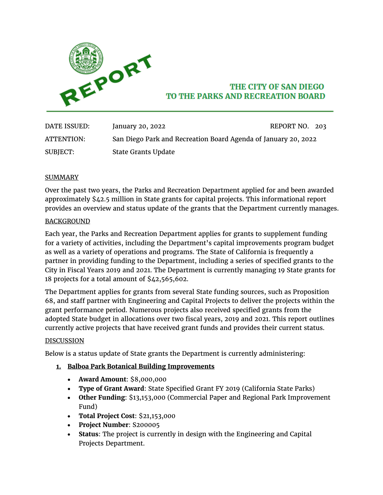

# THE CITY OF SAN DIEGO TO THE PARKS AND RECREATION BOARD

| DATE ISSUED: | January 20, 2022                                               | REPORT NO. 203 |  |
|--------------|----------------------------------------------------------------|----------------|--|
| ATTENTION:   | San Diego Park and Recreation Board Agenda of January 20, 2022 |                |  |
| SUBJECT:     | <b>State Grants Update</b>                                     |                |  |

#### SUMMARY

Over the past two years, the Parks and Recreation Department applied for and been awarded approximately \$42.5 million in State grants for capital projects. This informational report provides an overview and status update of the grants that the Department currently manages.

#### BACKGROUND

Each year, the Parks and Recreation Department applies for grants to supplement funding for a variety of activities, including the Department's capital improvements program budget as well as a variety of operations and programs. The State of California is frequently a partner in providing funding to the Department, including a series of specified grants to the City in Fiscal Years 2019 and 2021. The Department is currently managing 19 State grants for 18 projects for a total amount of \$42,565,602.

The Department applies for grants from several State funding sources, such as Proposition 68, and staff partner with Engineering and Capital Projects to deliver the projects within the grant performance period. Numerous projects also received specified grants from the adopted State budget in allocations over two fiscal years, 2019 and 2021. This report outlines currently active projects that have received grant funds and provides their current status.

#### DISCUSSION

Below is a status update of State grants the Department is currently administering:

- **1. Balboa Park Botanical Building Improvements**
	- **Award Amount**: \$8,000,000
	- **Type of Grant Award**: State Specified Grant FY 2019 (California State Parks)
	- **Other Funding**: \$13,153,000 (Commercial Paper and Regional Park Improvement Fund)
	- **Total Project Cost**: \$21,153,000
	- **Project Number**: S200005
	- **Status**: The project is currently in design with the Engineering and Capital Projects Department.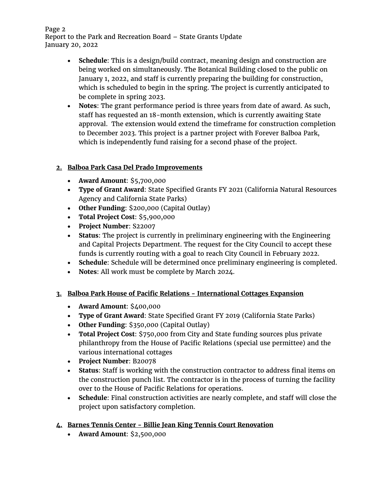Page 2 Report to the Park and Recreation Board – State Grants Update January 20, 2022

- **Schedule**: This is a design/build contract, meaning design and construction are being worked on simultaneously. The Botanical Building closed to the public on January 1, 2022, and staff is currently preparing the building for construction, which is scheduled to begin in the spring. The project is currently anticipated to be complete in spring 2023.
- **Notes**: The grant performance period is three years from date of award. As such, staff has requested an 18-month extension, which is currently awaiting State approval. The extension would extend the timeframe for construction completion to December 2023. This project is a partner project with Forever Balboa Park, which is independently fund raising for a second phase of the project.

## **2. Balboa Park Casa Del Prado Improvements**

- **Award Amount**: \$5,700,000
- **Type of Grant Award**: State Specified Grants FY 2021 (California Natural Resources Agency and California State Parks)
- **Other Funding**: \$200,000 (Capital Outlay)
- **Total Project Cost**: \$5,900,000
- **Project Number**: S22007
- **Status**: The project is currently in preliminary engineering with the Engineering and Capital Projects Department. The request for the City Council to accept these funds is currently routing with a goal to reach City Council in February 2022.
- **Schedule**: Schedule will be determined once preliminary engineering is completed.
- **Notes**: All work must be complete by March 2024.

## **3. Balboa Park House of Pacific Relations - International Cottages Expansion**

- **Award Amount**: \$400,000
- **Type of Grant Award**: State Specified Grant FY 2019 (California State Parks)
- **Other Funding**: \$350,000 (Capital Outlay)
- **Total Project Cost**: \$750,000 from City and State funding sources plus private philanthropy from the House of Pacific Relations (special use permittee) and the various international cottages
- **Project Number**: B20078
- **Status**: Staff is working with the construction contractor to address final items on the construction punch list. The contractor is in the process of turning the facility over to the House of Pacific Relations for operations.
- **Schedule**: Final construction activities are nearly complete, and staff will close the project upon satisfactory completion.

# **4. Barnes Tennis Center - Billie Jean King Tennis Court Renovation**

• **Award Amount**: \$2,500,000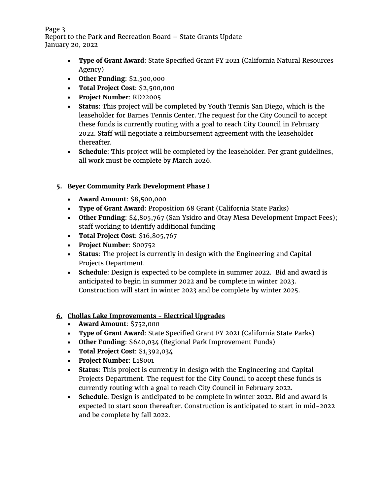Page 3 Report to the Park and Recreation Board – State Grants Update January 20, 2022

- **Type of Grant Award**: State Specified Grant FY 2021 (California Natural Resources Agency)
- **Other Funding**: \$2,500,000
- **Total Project Cost**: \$2,500,000
- **Project Number**: RD22005
- **Status**: This project will be completed by Youth Tennis San Diego, which is the leaseholder for Barnes Tennis Center. The request for the City Council to accept these funds is currently routing with a goal to reach City Council in February 2022. Staff will negotiate a reimbursement agreement with the leaseholder thereafter.
- **Schedule**: This project will be completed by the leaseholder. Per grant guidelines, all work must be complete by March 2026.

### **5. Beyer Community Park Development Phase I**

- **Award Amount**: \$8,500,000
- **Type of Grant Award**: Proposition 68 Grant (California State Parks)
- **Other Funding**: \$4,805,767 (San Ysidro and Otay Mesa Development Impact Fees); staff working to identify additional funding
- **Total Project Cost**: \$16,805,767
- **Project Number**: S00752
- **Status**: The project is currently in design with the Engineering and Capital Projects Department.
- **Schedule**: Design is expected to be complete in summer 2022. Bid and award is anticipated to begin in summer 2022 and be complete in winter 2023. Construction will start in winter 2023 and be complete by winter 2025.

### **6. Chollas Lake Improvements - Electrical Upgrades**

- **Award Amount**: \$752,000
- **Type of Grant Award**: State Specified Grant FY 2021 (California State Parks)
- **Other Funding**: \$640,034 (Regional Park Improvement Funds)
- **Total Project Cost**: \$1,392,034
- **Project Number**: L18001
- **Status**: This project is currently in design with the Engineering and Capital Projects Department. The request for the City Council to accept these funds is currently routing with a goal to reach City Council in February 2022.
- **Schedule**: Design is anticipated to be complete in winter 2022. Bid and award is expected to start soon thereafter. Construction is anticipated to start in mid-2022 and be complete by fall 2022.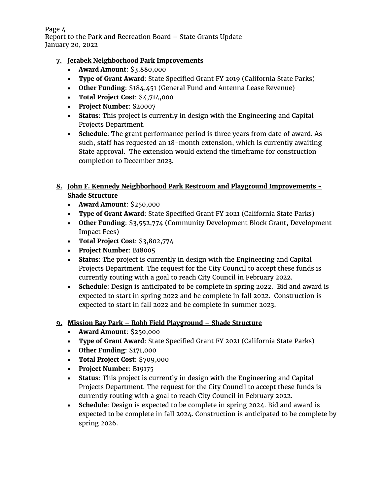Page 4 Report to the Park and Recreation Board – State Grants Update January 20, 2022

### **7. Jerabek Neighborhood Park Improvements**

- **Award Amount**: \$3,880,000
- **Type of Grant Award**: State Specified Grant FY 2019 (California State Parks)
- **Other Funding**: \$184,451 (General Fund and Antenna Lease Revenue)
- **Total Project Cost**: \$4,714,000
- **Project Number**: S20007
- **Status**: This project is currently in design with the Engineering and Capital Projects Department.
- **Schedule**: The grant performance period is three years from date of award. As such, staff has requested an 18-month extension, which is currently awaiting State approval. The extension would extend the timeframe for construction completion to December 2023.

## **8. John F. Kennedy Neighborhood Park Restroom and Playground Improvements - Shade Structure**

- **Award Amount**: \$250,000
- **Type of Grant Award**: State Specified Grant FY 2021 (California State Parks)
- **Other Funding**: \$3,552,774 (Community Development Block Grant, Development Impact Fees)
- **Total Project Cost**: \$3,802,774
- **Project Number**: B18005
- **Status**: The project is currently in design with the Engineering and Capital Projects Department. The request for the City Council to accept these funds is currently routing with a goal to reach City Council in February 2022.
- **Schedule**: Design is anticipated to be complete in spring 2022. Bid and award is expected to start in spring 2022 and be complete in fall 2022. Construction is expected to start in fall 2022 and be complete in summer 2023.

## **9. Mission Bay Park – Robb Field Playground – Shade Structure**

- **Award Amount**: \$250,000
- **Type of Grant Award**: State Specified Grant FY 2021 (California State Parks)
- **Other Funding**: \$171,000
- **Total Project Cost**: \$709,000
- **Project Number**: B19175
- **Status**: This project is currently in design with the Engineering and Capital Projects Department. The request for the City Council to accept these funds is currently routing with a goal to reach City Council in February 2022.
- **Schedule**: Design is expected to be complete in spring 2024. Bid and award is expected to be complete in fall 2024. Construction is anticipated to be complete by spring 2026.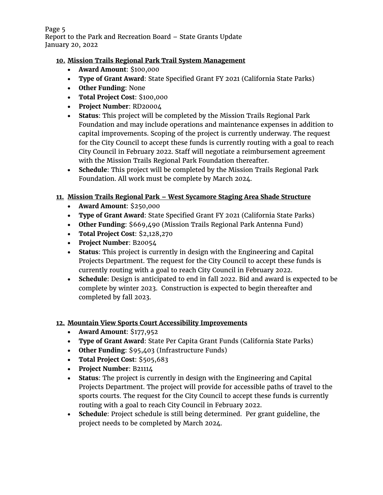Page 5 Report to the Park and Recreation Board – State Grants Update January 20, 2022

### **10. Mission Trails Regional Park Trail System Management**

- **Award Amount**: \$100,000
- **Type of Grant Award**: State Specified Grant FY 2021 (California State Parks)
- **Other Funding**: None
- **Total Project Cost**: \$100,000
- **Project Number**: RD20004
- **Status**: This project will be completed by the Mission Trails Regional Park Foundation and may include operations and maintenance expenses in addition to capital improvements. Scoping of the project is currently underway. The request for the City Council to accept these funds is currently routing with a goal to reach City Council in February 2022. Staff will negotiate a reimbursement agreement with the Mission Trails Regional Park Foundation thereafter.
- **Schedule**: This project will be completed by the Mission Trails Regional Park Foundation. All work must be complete by March 2024.

### **11. Mission Trails Regional Park – West Sycamore Staging Area Shade Structure**

- **Award Amount**: \$250,000
- **Type of Grant Award**: State Specified Grant FY 2021 (California State Parks)
- **Other Funding**: \$669,490 (Mission Trails Regional Park Antenna Fund)
- **Total Project Cost**: \$2,128,270
- **Project Number**: B20054
- **Status**: This project is currently in design with the Engineering and Capital Projects Department. The request for the City Council to accept these funds is currently routing with a goal to reach City Council in February 2022.
- **Schedule**: Design is anticipated to end in fall 2022. Bid and award is expected to be complete by winter 2023. Construction is expected to begin thereafter and completed by fall 2023.

### **12. Mountain View Sports Court Accessibility Improvements**

- **Award Amount**: \$177,952
- **Type of Grant Award**: State Per Capita Grant Funds (California State Parks)
- **Other Funding**: \$95,403 (Infrastructure Funds)
- **Total Project Cost**: \$505,683
- **Project Number**: B21114
- **Status**: The project is currently in design with the Engineering and Capital Projects Department. The project will provide for accessible paths of travel to the sports courts. The request for the City Council to accept these funds is currently routing with a goal to reach City Council in February 2022.
- **Schedule**: Project schedule is still being determined. Per grant guideline, the project needs to be completed by March 2024.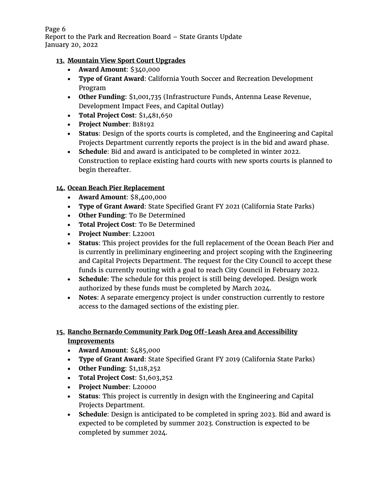Page 6 Report to the Park and Recreation Board – State Grants Update January 20, 2022

### **13. Mountain View Sport Court Upgrades**

- **Award Amount**: \$340,000
- **Type of Grant Award**: California Youth Soccer and Recreation Development Program
- **Other Funding**: \$1,001,735 (Infrastructure Funds, Antenna Lease Revenue, Development Impact Fees, and Capital Outlay)
- **Total Project Cost**: \$1,481,650
- **Project Number**: B18192
- **Status**: Design of the sports courts is completed, and the Engineering and Capital Projects Department currently reports the project is in the bid and award phase.
- **Schedule**: Bid and award is anticipated to be completed in winter 2022. Construction to replace existing hard courts with new sports courts is planned to begin thereafter.

### **14. Ocean Beach Pier Replacement**

- **Award Amount**: \$8,400,000
- **Type of Grant Award**: State Specified Grant FY 2021 (California State Parks)
- **Other Funding**: To Be Determined
- **Total Project Cost**: To Be Determined
- **Project Number**: L22001
- **Status**: This project provides for the full replacement of the Ocean Beach Pier and is currently in preliminary engineering and project scoping with the Engineering and Capital Projects Department. The request for the City Council to accept these funds is currently routing with a goal to reach City Council in February 2022.
- **Schedule**: The schedule for this project is still being developed. Design work authorized by these funds must be completed by March 2024.
- **Notes**: A separate emergency project is under construction currently to restore access to the damaged sections of the existing pier.

## **15. Rancho Bernardo Community Park Dog Off-Leash Area and Accessibility Improvements**

- **Award Amount**: \$485,000
- **Type of Grant Award**: State Specified Grant FY 2019 (California State Parks)
- **Other Funding**: \$1,118,252
- **Total Project Cost**: \$1,603,252
- **Project Number**: L20000
- **Status**: This project is currently in design with the Engineering and Capital Projects Department.
- **Schedule**: Design is anticipated to be completed in spring 2023. Bid and award is expected to be completed by summer 2023. Construction is expected to be completed by summer 2024.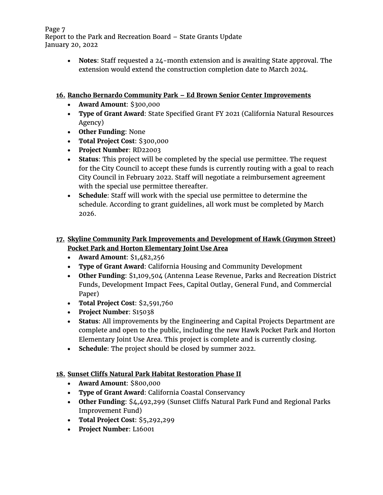Page 7 Report to the Park and Recreation Board – State Grants Update January 20, 2022

> • **Notes**: Staff requested a 24-month extension and is awaiting State approval. The extension would extend the construction completion date to March 2024.

### **16. Rancho Bernardo Community Park – Ed Brown Senior Center Improvements**

- **Award Amount**: \$300,000
- **Type of Grant Award**: State Specified Grant FY 2021 (California Natural Resources Agency)
- **Other Funding**: None
- **Total Project Cost**: \$300,000
- **Project Number**: RD22003
- **Status**: This project will be completed by the special use permittee. The request for the City Council to accept these funds is currently routing with a goal to reach City Council in February 2022. Staff will negotiate a reimbursement agreement with the special use permittee thereafter.
- **Schedule**: Staff will work with the special use permittee to determine the schedule. According to grant guidelines, all work must be completed by March 2026.

# **17. Skyline Community Park Improvements and Development of Hawk (Guymon Street) Pocket Park and Horton Elementary Joint Use Area**

- **Award Amount**: \$1,482,256
- **Type of Grant Award**: California Housing and Community Development
- **Other Funding**: \$1,109,504 (Antenna Lease Revenue, Parks and Recreation District Funds, Development Impact Fees, Capital Outlay, General Fund, and Commercial Paper)
- **Total Project Cost**: \$2,591,760
- **Project Number**: S15038
- **Status**: All improvements by the Engineering and Capital Projects Department are complete and open to the public, including the new Hawk Pocket Park and Horton Elementary Joint Use Area. This project is complete and is currently closing.
- **Schedule**: The project should be closed by summer 2022.

# **18. Sunset Cliffs Natural Park Habitat Restoration Phase II**

- **Award Amount**: \$800,000
- **Type of Grant Award**: California Coastal Conservancy
- **Other Funding**: \$4,492,299 (Sunset Cliffs Natural Park Fund and Regional Parks Improvement Fund)
- **Total Project Cost**: \$5,292,299
- **Project Number**: L16001